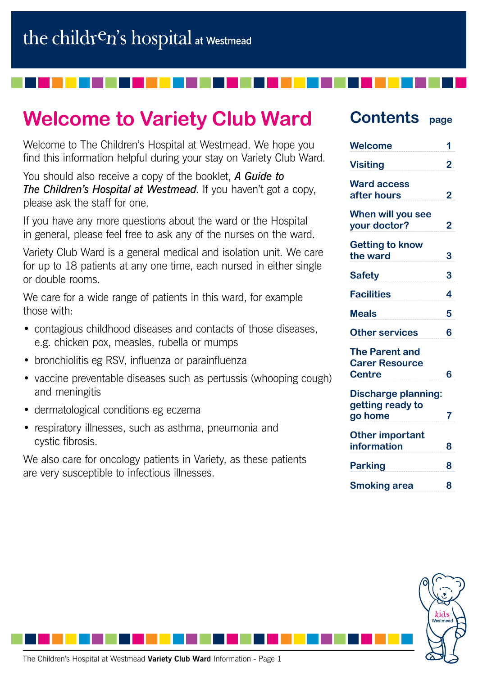# **Welcome to Variety Club Ward**

Welcome to The Children's Hospital at Westmead. We hope you find this information helpful during your stay on Variety Club Ward.

You should also receive a copy of the booklet, *A Guide to The Children's Hospital at Westmead*. If you haven't got a copy, please ask the staff for one.

If you have any more questions about the ward or the Hospital in general, please feel free to ask any of the nurses on the ward.

Variety Club Ward is a general medical and isolation unit. We care for up to 18 patients at any one time, each nursed in either single or double rooms.

We care for a wide range of patients in this ward, for example those with:

- contagious childhood diseases and contacts of those diseases, e.g. chicken pox, measles, rubella or mumps
- bronchiolitis eg RSV, influenza or parainfluenza
- vaccine preventable diseases such as pertussis (whooping cough) and meningitis
- dermatological conditions eg eczema
- respiratory illnesses, such as asthma, pneumonia and cystic fibrosis.

We also care for oncology patients in Variety, as these patients are very susceptible to infectious illnesses.

## **Contents page**

| 2<br>$\overline{2}$<br>2<br>3<br>3<br>4<br>5<br><b>Other services</b><br>6<br><b>Carer Resource</b><br>6<br><b>Centre</b><br><b>Discharge planning:</b><br>getting ready to<br>7<br>information<br>8<br><b>Parking</b><br>8<br>8                        | <b>Welcome</b>  | 1 |
|---------------------------------------------------------------------------------------------------------------------------------------------------------------------------------------------------------------------------------------------------------|-----------------|---|
| <b>Ward access</b><br>after hours<br>When will you see<br>your doctor?<br><b>Getting to know</b><br>the ward<br><b>Safety</b><br><b>Facilities</b><br><b>Meals</b><br><b>The Parent and</b><br>go home<br><b>Other important</b><br><b>Smoking area</b> | <b>Visiting</b> |   |
|                                                                                                                                                                                                                                                         |                 |   |
|                                                                                                                                                                                                                                                         |                 |   |
|                                                                                                                                                                                                                                                         |                 |   |
|                                                                                                                                                                                                                                                         |                 |   |
|                                                                                                                                                                                                                                                         |                 |   |
|                                                                                                                                                                                                                                                         |                 |   |
|                                                                                                                                                                                                                                                         |                 |   |
|                                                                                                                                                                                                                                                         |                 |   |
|                                                                                                                                                                                                                                                         |                 |   |
|                                                                                                                                                                                                                                                         |                 |   |
|                                                                                                                                                                                                                                                         |                 |   |
|                                                                                                                                                                                                                                                         |                 |   |

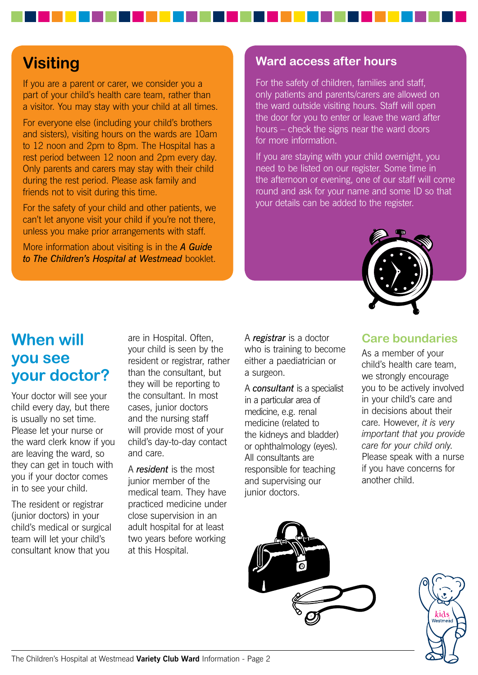## **Visiting**

If you are a parent or carer, we consider you a part of your child's health care team, rather than a visitor. You may stay with your child at all times.

For everyone else (including your child's brothers and sisters), visiting hours on the wards are 10am to 12 noon and 2pm to 8pm. The Hospital has a rest period between 12 noon and 2pm every day. Only parents and carers may stay with their child during the rest period. Please ask family and friends not to visit during this time.

For the safety of your child and other patients, we can't let anyone visit your child if you're not there, unless you make prior arrangements with staff.

More information about visiting is in the *A Guide to The Children's Hospital at Westmead* booklet.

#### **Ward access after hours**

For the safety of children, families and staff, only patients and parents/carers are allowed on the ward outside visiting hours. Staff will open the door for you to enter or leave the ward after hours – check the signs near the ward doors for more information.

If you are staying with your child overnight, you need to be listed on our register. Some time in the afternoon or evening, one of our staff will come round and ask for your name and some ID so that your details can be added to the register.



### **When will you see your doctor?**

Your doctor will see your child every day, but there is usually no set time. Please let your nurse or the ward clerk know if you are leaving the ward, so they can get in touch with you if your doctor comes in to see your child.

The resident or registrar (junior doctors) in your child's medical or surgical team will let your child's consultant know that you

are in Hospital. Often, your child is seen by the resident or registrar, rather than the consultant, but they will be reporting to the consultant. In most cases, junior doctors and the nursing staff will provide most of your child's day-to-day contact and care.

A *resident* is the most junior member of the medical team. They have practiced medicine under close supervision in an adult hospital for at least two years before working at this Hospital.

A *registrar* is a doctor who is training to become either a paediatrician or a surgeon.

A *consultant* is a specialist in a particular area of medicine, e.g. renal medicine (related to the kidneys and bladder) or ophthalmology (eyes). All consultants are responsible for teaching and supervising our junior doctors.

#### **Care boundaries**

As a member of your child's health care team, we strongly encourage you to be actively involved in your child's care and in decisions about their care. However, *it is very important that you provide care for your child only*. Please speak with a nurse if you have concerns for another child.



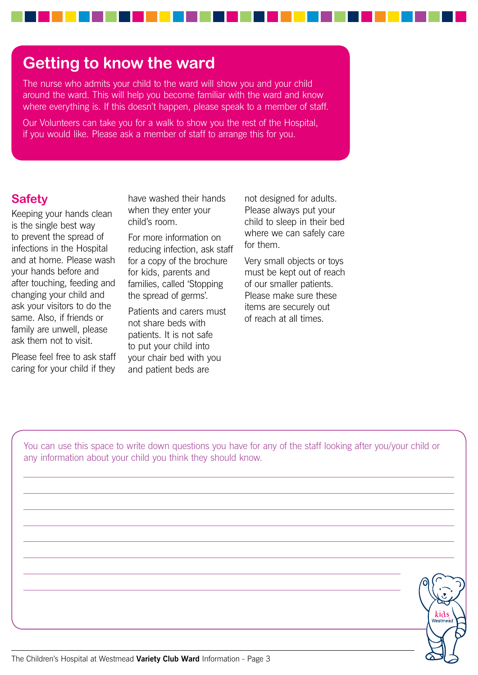### **Getting to know the ward**

The nurse who admits your child to the ward will show you and your child around the ward. This will help you become familiar with the ward and know where everything is. If this doesn't happen, please speak to a member of staff.

Our Volunteers can take you for a walk to show you the rest of the Hospital, if you would like. Please ask a member of staff to arrange this for you.

#### **Safety**

Keeping your hands clean is the single best way to prevent the spread of infections in the Hospital and at home. Please wash your hands before and after touching, feeding and changing your child and ask your visitors to do the same. Also, if friends or family are unwell, please ask them not to visit.

Please feel free to ask staff caring for your child if they have washed their hands when they enter your child's room.

For more information on reducing infection, ask staff for a copy of the brochure for kids, parents and families, called 'Stopping the spread of germs'.

Patients and carers must not share beds with patients. It is not safe to put your child into your chair bed with you and patient beds are

not designed for adults. Please always put your child to sleep in their bed where we can safely care for them.

Very small objects or toys must be kept out of reach of our smaller patients. Please make sure these items are securely out of reach at all times.

You can use this space to write down questions you have for any of the staff looking after you/your child or any information about your child you think they should know.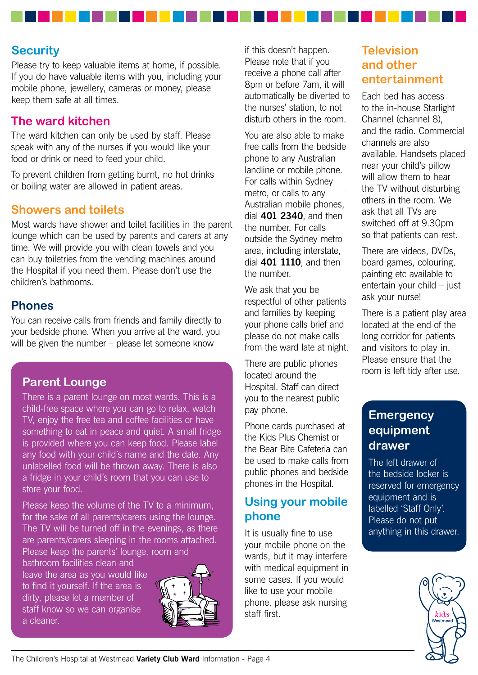#### **Security**

Please try to keep valuable items at home, if possible. If you do have valuable items with you, including your mobile phone, jewellery, cameras or money, please keep them safe at all times.

#### **The ward kitchen**

The ward kitchen can only be used by staff. Please speak with any of the nurses if you would like your food or drink or need to feed your child.

To prevent children from getting burnt, no hot drinks or boiling water are allowed in patient areas.

#### **Showers and toilets**

Most wards have shower and toilet facilities in the parent lounge which can be used by parents and carers at any time. We will provide you with clean towels and you can buy toiletries from the vending machines around the Hospital if you need them. Please don't use the children's bathrooms.

#### **Phones**

You can receive calls from friends and family directly to your bedside phone. When you arrive at the ward, you will be given the number – please let someone know

#### **Parent Lounge**

There is a parent lounge on most wards. This is a child-free space where you can go to relax, watch TV, enjoy the free tea and coffee facilities or have something to eat in peace and quiet. A small fridge is provided where you can keep food. Please label any food with your child's name and the date. Any unlabelled food will be thrown away. There is also a fridge in your child's room that you can use to store your food.

Please keep the volume of the TV to a minimum, for the sake of all parents/carers using the lounge. The TV will be turned off in the evenings, as there are parents/carers sleeping in the rooms attached. Please keep the parents' lounge, room and

bathroom facilities clean and leave the area as you would like to find it yourself. If the area is dirty, please let a member of staff know so we can organise a cleaner.



if this doesn't happen. Please note that if you receive a phone call after 8pm or before 7am, it will automatically be diverted to the nurses' station, to not disturb others in the room.

You are also able to make free calls from the bedside phone to any Australian landline or mobile phone. For calls within Sydney metro, or calls to any Australian mobile phones, dial **401 2340**, and then the number. For calls outside the Sydney metro area, including interstate, dial **401 1110**, and then the number.

We ask that you be respectful of other patients and families by keeping your phone calls brief and please do not make calls from the ward late at night.

There are public phones located around the Hospital. Staff can direct you to the nearest public pay phone.

Phone cards purchased at the Kids Plus Chemist or the Bear Bite Cafeteria can be used to make calls from public phones and bedside phones in the Hospital.

#### **Using your mobile phone**

It is usually fine to use your mobile phone on the wards, but it may interfere with medical equipment in some cases. If you would like to use your mobile phone, please ask nursing staff first.

#### **Television and other entertainment**

Each bed has access to the in-house Starlight Channel (channel 8), and the radio. Commercial channels are also available. Handsets placed near your child's pillow will allow them to hear the TV without disturbing others in the room. We ask that all TVs are switched off at 9.30pm so that patients can rest.

There are videos, DVDs, board games, colouring, painting etc available to entertain your child – just ask your nurse!

There is a patient play area located at the end of the long corridor for patients and visitors to play in. Please ensure that the room is left tidy after use.

#### **Emergency equipment drawer**

The left drawer of the bedside locker is reserved for emergency equipment and is labelled 'Staff Only'. Please do not put anything in this drawer.

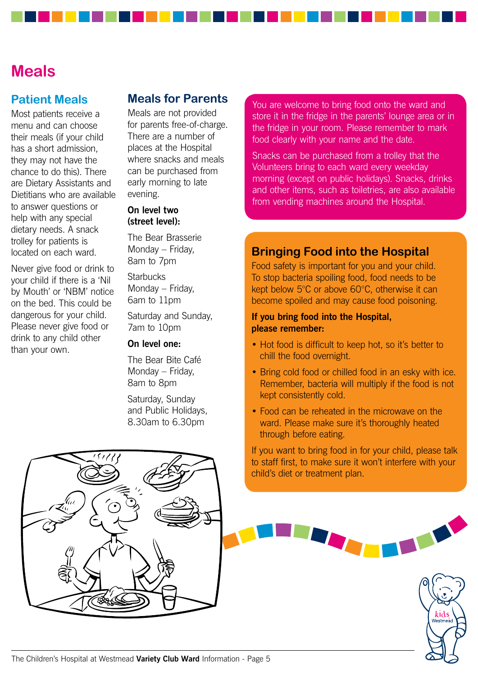### **Meals**

#### **Patient Meals**

Most patients receive a menu and can choose their meals (if your child has a short admission, they may not have the chance to do this). There are Dietary Assistants and Dietitians who are available to answer questions or help with any special dietary needs. A snack trolley for patients is located on each ward.

Never give food or drink to your child if there is a 'Nil by Mouth' or 'NBM' notice on the bed. This could be dangerous for your child. Please never give food or drink to any child other than your own.

#### **Meals for Parents**

Meals are not provided for parents free-of-charge. There are a number of places at the Hospital where snacks and meals can be purchased from early morning to late evening.

#### **On level two (street level):**

The Bear Brasserie Monday – Friday, 8am to 7pm

**Starbucks** Monday – Friday, 6am to 11pm

Saturday and Sunday, 7am to 10pm

#### **On level one:**

The Bear Bite Café Monday – Friday, 8am to 8pm

Saturday, Sunday and Public Holidays, 8.30am to 6.30pm

You are welcome to bring food onto the ward and store it in the fridge in the parents' lounge area or in the fridge in your room. Please remember to mark food clearly with your name and the date.

Snacks can be purchased from a trolley that the Volunteers bring to each ward every weekday morning (except on public holidays). Snacks, drinks and other items, such as toiletries, are also available from vending machines around the Hospital.

#### **Bringing Food into the Hospital**

Food safety is important for you and your child. To stop bacteria spoiling food, food needs to be kept below 5°C or above 60°C, otherwise it can become spoiled and may cause food poisoning.

#### **If you bring food into the Hospital, please remember:**

- Hot food is difficult to keep hot, so it's better to chill the food overnight.
- Bring cold food or chilled food in an esky with ice. Remember, bacteria will multiply if the food is not kept consistently cold.
- Food can be reheated in the microwave on the ward. Please make sure it's thoroughly heated through before eating.

If you want to bring food in for your child, please talk to staff first, to make sure it won't interfere with your child's diet or treatment plan.

kid

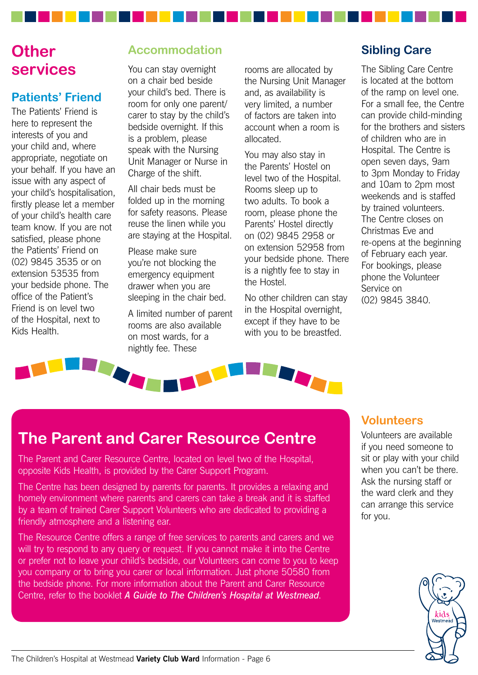## **Other services**

### **Patients' Friend**

The Patients' Friend is here to represent the interests of you and your child and, where appropriate, negotiate on your behalf. If you have an issue with any aspect of your child's hospitalisation, firstly please let a member of your child's health care team know. If you are not satisfied, please phone the Patients' Friend on (02) 9845 3535 or on extension 53535 from your bedside phone. The office of the Patient's Friend is on level two of the Hospital, next to Kids Health.

### **Accommodation**

You can stay overnight on a chair bed beside your child's bed. There is room for only one parent/ carer to stay by the child's bedside overnight. If this is a problem, please speak with the Nursing Unit Manager or Nurse in Charge of the shift.

All chair beds must be folded up in the morning for safety reasons. Please reuse the linen while you are staying at the Hospital.

Please make sure you're not blocking the emergency equipment drawer when you are sleeping in the chair bed.

A limited number of parent rooms are also available on most wards, for a nightly fee. These

rooms are allocated by the Nursing Unit Manager and, as availability is very limited, a number of factors are taken into account when a room is allocated.

You may also stay in the Parents' Hostel on level two of the Hospital. Rooms sleep up to two adults. To book a room, please phone the Parents' Hostel directly on (02) 9845 2958 or on extension 52958 from your bedside phone. There is a nightly fee to stay in the Hostel.

No other children can stay in the Hospital overnight, except if they have to be with you to be breastfed.

#### **Sibling Care**

The Sibling Care Centre is located at the bottom of the ramp on level one. For a small fee, the Centre can provide child-minding for the brothers and sisters of children who are in Hospital. The Centre is open seven days, 9am to 3pm Monday to Friday and 10am to 2pm most weekends and is staffed by trained volunteers. The Centre closes on Christmas Eve and re-opens at the beginning of February each year. For bookings, please phone the Volunteer Service on (02) 9845 3840.



## **The Parent and Carer Resource Centre**

The Parent and Carer Resource Centre, located on level two of the Hospital, opposite Kids Health, is provided by the Carer Support Program.

The Centre has been designed by parents for parents. It provides a relaxing and homely environment where parents and carers can take a break and it is staffed by a team of trained Carer Support Volunteers who are dedicated to providing a friendly atmosphere and a listening ear.

The Resource Centre offers a range of free services to parents and carers and we will try to respond to any query or request. If you cannot make it into the Centre or prefer not to leave your child's bedside, our Volunteers can come to you to keep you company or to bring you carer or local information. Just phone 50580 from the bedside phone. For more information about the Parent and Carer Resource Centre, refer to the booklet *A Guide to The Children's Hospital at Westmead*.

#### **Volunteers**

Volunteers are available if you need someone to sit or play with your child when you can't be there. Ask the nursing staff or the ward clerk and they can arrange this service for you.

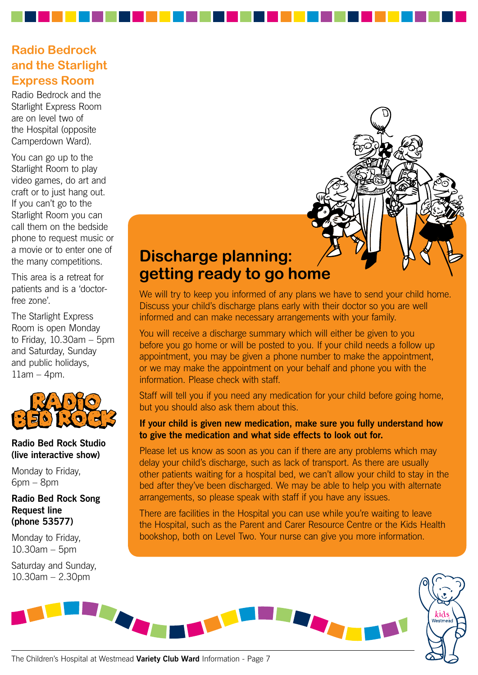### **Radio Bedrock and the Starlight Express Room**

Radio Bedrock and the Starlight Express Room are on level two of the Hospital (opposite Camperdown Ward).

You can go up to the Starlight Room to play video games, do art and craft or to just hang out. If you can't go to the Starlight Room you can call them on the bedside phone to request music or a movie or to enter one of the many competitions.

This area is a retreat for patients and is a 'doctorfree zone'.

The Starlight Express Room is open Monday to Friday, 10.30am – 5pm and Saturday, Sunday and public holidays,  $11$ am – 4pm.



#### **Radio Bed Rock Studio (live interactive show)**

Monday to Friday, 6pm – 8pm

**Radio Bed Rock Song Request line (phone 53577)**

Monday to Friday, 10.30am – 5pm

Saturday and Sunday, 10.30am – 2.30pm

## **Discharge planning: getting ready to go home**

We will try to keep you informed of any plans we have to send your child home. Discuss your child's discharge plans early with their doctor so you are well informed and can make necessary arrangements with your family.

You will receive a discharge summary which will either be given to you before you go home or will be posted to you. If your child needs a follow up appointment, you may be given a phone number to make the appointment, or we may make the appointment on your behalf and phone you with the information. Please check with staff.

Staff will tell you if you need any medication for your child before going home, but you should also ask them about this.

#### **If your child is given new medication, make sure you fully understand how to give the medication and what side effects to look out for.**

Please let us know as soon as you can if there are any problems which may delay your child's discharge, such as lack of transport. As there are usually other patients waiting for a hospital bed, we can't allow your child to stay in the bed after they've been discharged. We may be able to help you with alternate arrangements, so please speak with staff if you have any issues.

There are facilities in the Hospital you can use while you're waiting to leave the Hospital, such as the Parent and Carer Resource Centre or the Kids Health bookshop, both on Level Two. Your nurse can give you more information.